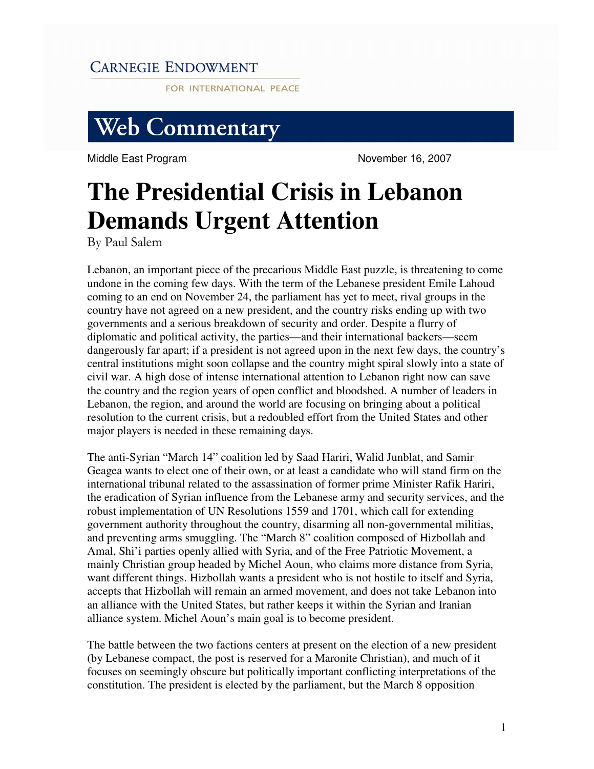## **CARNEGIE ENDOWMENT**

FOR INTERNATIONAL PEACE

## **Web Commentary**

Middle East Program November 16, 2007

## **The Presidential Crisis in Lebanon Demands Urgent Attention**

By Paul Salem

Lebanon, an important piece of the precarious Middle East puzzle, is threatening to come undone in the coming few days. With the term of the Lebanese president Emile Lahoud coming to an end on November 24, the parliament has yet to meet, rival groups in the country have not agreed on a new president, and the country risks ending up with two governments and a serious breakdown of security and order. Despite a flurry of diplomatic and political activity, the parties—and their international backers—seem dangerously far apart; if a president is not agreed upon in the next few days, the country's central institutions might soon collapse and the country might spiral slowly into a state of civil war. A high dose of intense international attention to Lebanon right now can save the country and the region years of open conflict and bloodshed. A number of leaders in Lebanon, the region, and around the world are focusing on bringing about a political resolution to the current crisis, but a redoubled effort from the United States and other major players is needed in these remaining days.

The anti-Syrian "March 14" coalition led by Saad Hariri, Walid Junblat, and Samir Geagea wants to elect one of their own, or at least a candidate who will stand firm on the international tribunal related to the assassination of former prime Minister Rafik Hariri, the eradication of Syrian influence from the Lebanese army and security services, and the robust implementation of UN Resolutions 1559 and 1701, which call for extending government authority throughout the country, disarming all non-governmental militias, and preventing arms smuggling. The "March 8" coalition composed of Hizbollah and Amal, Shi'i parties openly allied with Syria, and of the Free Patriotic Movement, a mainly Christian group headed by Michel Aoun, who claims more distance from Syria, want different things. Hizbollah wants a president who is not hostile to itself and Syria, accepts that Hizbollah will remain an armed movement, and does not take Lebanon into an alliance with the United States, but rather keeps it within the Syrian and Iranian alliance system. Michel Aoun's main goal is to become president.

The battle between the two factions centers at present on the election of a new president (by Lebanese compact, the post is reserved for a Maronite Christian), and much of it focuses on seemingly obscure but politically important conflicting interpretations of the constitution. The president is elected by the parliament, but the March 8 opposition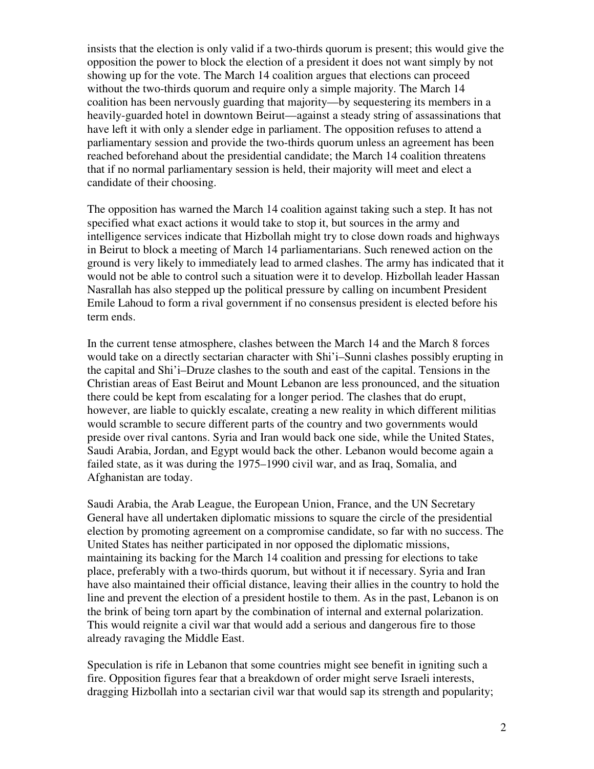insists that the election is only valid if a two-thirds quorum is present; this would give the opposition the power to block the election of a president it does not want simply by not showing up for the vote. The March 14 coalition argues that elections can proceed without the two-thirds quorum and require only a simple majority. The March 14 coalition has been nervously guarding that majority—by sequestering its members in a heavily-guarded hotel in downtown Beirut—against a steady string of assassinations that have left it with only a slender edge in parliament. The opposition refuses to attend a parliamentary session and provide the two-thirds quorum unless an agreement has been reached beforehand about the presidential candidate; the March 14 coalition threatens that if no normal parliamentary session is held, their majority will meet and elect a candidate of their choosing.

The opposition has warned the March 14 coalition against taking such a step. It has not specified what exact actions it would take to stop it, but sources in the army and intelligence services indicate that Hizbollah might try to close down roads and highways in Beirut to block a meeting of March 14 parliamentarians. Such renewed action on the ground is very likely to immediately lead to armed clashes. The army has indicated that it would not be able to control such a situation were it to develop. Hizbollah leader Hassan Nasrallah has also stepped up the political pressure by calling on incumbent President Emile Lahoud to form a rival government if no consensus president is elected before his term ends.

In the current tense atmosphere, clashes between the March 14 and the March 8 forces would take on a directly sectarian character with Shi'i–Sunni clashes possibly erupting in the capital and Shi'i–Druze clashes to the south and east of the capital. Tensions in the Christian areas of East Beirut and Mount Lebanon are less pronounced, and the situation there could be kept from escalating for a longer period. The clashes that do erupt, however, are liable to quickly escalate, creating a new reality in which different militias would scramble to secure different parts of the country and two governments would preside over rival cantons. Syria and Iran would back one side, while the United States, Saudi Arabia, Jordan, and Egypt would back the other. Lebanon would become again a failed state, as it was during the 1975–1990 civil war, and as Iraq, Somalia, and Afghanistan are today.

Saudi Arabia, the Arab League, the European Union, France, and the UN Secretary General have all undertaken diplomatic missions to square the circle of the presidential election by promoting agreement on a compromise candidate, so far with no success. The United States has neither participated in nor opposed the diplomatic missions, maintaining its backing for the March 14 coalition and pressing for elections to take place, preferably with a two-thirds quorum, but without it if necessary. Syria and Iran have also maintained their official distance, leaving their allies in the country to hold the line and prevent the election of a president hostile to them. As in the past, Lebanon is on the brink of being torn apart by the combination of internal and external polarization. This would reignite a civil war that would add a serious and dangerous fire to those already ravaging the Middle East.

Speculation is rife in Lebanon that some countries might see benefit in igniting such a fire. Opposition figures fear that a breakdown of order might serve Israeli interests, dragging Hizbollah into a sectarian civil war that would sap its strength and popularity;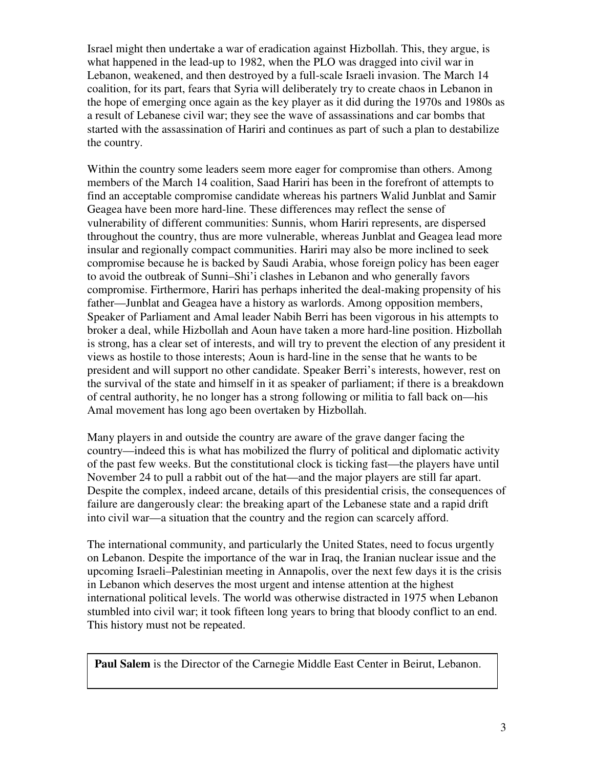Israel might then undertake a war of eradication against Hizbollah. This, they argue, is what happened in the lead-up to 1982, when the PLO was dragged into civil war in Lebanon, weakened, and then destroyed by a full-scale Israeli invasion. The March 14 coalition, for its part, fears that Syria will deliberately try to create chaos in Lebanon in the hope of emerging once again as the key player as it did during the 1970s and 1980s as a result of Lebanese civil war; they see the wave of assassinations and car bombs that started with the assassination of Hariri and continues as part of such a plan to destabilize the country.

Within the country some leaders seem more eager for compromise than others. Among members of the March 14 coalition, Saad Hariri has been in the forefront of attempts to find an acceptable compromise candidate whereas his partners Walid Junblat and Samir Geagea have been more hard-line. These differences may reflect the sense of vulnerability of different communities: Sunnis, whom Hariri represents, are dispersed throughout the country, thus are more vulnerable, whereas Junblat and Geagea lead more insular and regionally compact communities. Hariri may also be more inclined to seek compromise because he is backed by Saudi Arabia, whose foreign policy has been eager to avoid the outbreak of Sunni–Shi'i clashes in Lebanon and who generally favors compromise. Firthermore, Hariri has perhaps inherited the deal-making propensity of his father—Junblat and Geagea have a history as warlords. Among opposition members, Speaker of Parliament and Amal leader Nabih Berri has been vigorous in his attempts to broker a deal, while Hizbollah and Aoun have taken a more hard-line position. Hizbollah is strong, has a clear set of interests, and will try to prevent the election of any president it views as hostile to those interests; Aoun is hard-line in the sense that he wants to be president and will support no other candidate. Speaker Berri's interests, however, rest on the survival of the state and himself in it as speaker of parliament; if there is a breakdown of central authority, he no longer has a strong following or militia to fall back on—his Amal movement has long ago been overtaken by Hizbollah.

Many players in and outside the country are aware of the grave danger facing the country—indeed this is what has mobilized the flurry of political and diplomatic activity of the past few weeks. But the constitutional clock is ticking fast—the players have until November 24 to pull a rabbit out of the hat—and the major players are still far apart. Despite the complex, indeed arcane, details of this presidential crisis, the consequences of failure are dangerously clear: the breaking apart of the Lebanese state and a rapid drift into civil war—a situation that the country and the region can scarcely afford.

The international community, and particularly the United States, need to focus urgently on Lebanon. Despite the importance of the war in Iraq, the Iranian nuclear issue and the upcoming Israeli–Palestinian meeting in Annapolis, over the next few days it is the crisis in Lebanon which deserves the most urgent and intense attention at the highest international political levels. The world was otherwise distracted in 1975 when Lebanon stumbled into civil war; it took fifteen long years to bring that bloody conflict to an end. This history must not be repeated.

**Paul Salem** is the Director of the Carnegie Middle East Center in Beirut, Lebanon.